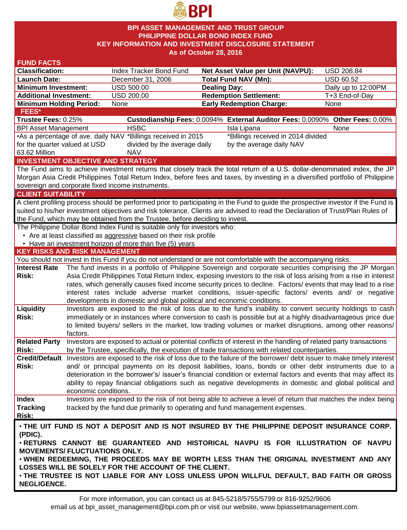

### **BPI ASSET MANAGEMENT AND TRUST GROUP PHILIPPINE DOLLAR BOND INDEX FUND KEY INFORMATION AND INVESTMENT DISCLOSURE STATEMENT As of October 28, 2016**

| <b>FUND FACTS</b>                                                                                                                                                                                                                                                    |                                                                                                                                                                                                                                 |                                                                        |                                                                                                                                 |                     |  |  |  |  |  |
|----------------------------------------------------------------------------------------------------------------------------------------------------------------------------------------------------------------------------------------------------------------------|---------------------------------------------------------------------------------------------------------------------------------------------------------------------------------------------------------------------------------|------------------------------------------------------------------------|---------------------------------------------------------------------------------------------------------------------------------|---------------------|--|--|--|--|--|
| <b>Classification:</b>                                                                                                                                                                                                                                               |                                                                                                                                                                                                                                 | Index Tracker Bond Fund                                                | Net Asset Value per Unit (NAVPU):                                                                                               | <b>USD 208.84</b>   |  |  |  |  |  |
| <b>Launch Date:</b>                                                                                                                                                                                                                                                  |                                                                                                                                                                                                                                 | December 31, 2006                                                      | <b>Total Fund NAV (Mn):</b>                                                                                                     | <b>USD 60.52</b>    |  |  |  |  |  |
| <b>Minimum Investment:</b>                                                                                                                                                                                                                                           |                                                                                                                                                                                                                                 | <b>USD 500.00</b>                                                      | <b>Dealing Day:</b>                                                                                                             | Daily up to 12:00PM |  |  |  |  |  |
| <b>Additional Investment:</b>                                                                                                                                                                                                                                        |                                                                                                                                                                                                                                 | USD 200.00                                                             | <b>Redemption Settlement:</b>                                                                                                   | T+3 End-of-Day      |  |  |  |  |  |
| <b>Minimum Holding Period:</b>                                                                                                                                                                                                                                       |                                                                                                                                                                                                                                 | None                                                                   | <b>Early Redemption Charge:</b>                                                                                                 | None                |  |  |  |  |  |
| <b>FEES*</b>                                                                                                                                                                                                                                                         |                                                                                                                                                                                                                                 |                                                                        |                                                                                                                                 |                     |  |  |  |  |  |
| Trustee Fees: 0.25%                                                                                                                                                                                                                                                  |                                                                                                                                                                                                                                 |                                                                        | Custodianship Fees: 0.0094% External Auditor Fees: 0.0090% Other Fees: 0.00%                                                    |                     |  |  |  |  |  |
| <b>BPI Asset Management</b>                                                                                                                                                                                                                                          |                                                                                                                                                                                                                                 | <b>HSBC</b>                                                            | Isla Lipana                                                                                                                     | None                |  |  |  |  |  |
| •As a percentage of ave. daily NAV *Billings received in 2015<br>*Billings received in 2014 divided                                                                                                                                                                  |                                                                                                                                                                                                                                 |                                                                        |                                                                                                                                 |                     |  |  |  |  |  |
|                                                                                                                                                                                                                                                                      | for the quarter valued at USD<br>divided by the average daily<br>by the average daily NAV                                                                                                                                       |                                                                        |                                                                                                                                 |                     |  |  |  |  |  |
| 63.62 Million                                                                                                                                                                                                                                                        |                                                                                                                                                                                                                                 | <b>NAV</b>                                                             |                                                                                                                                 |                     |  |  |  |  |  |
|                                                                                                                                                                                                                                                                      |                                                                                                                                                                                                                                 | <b>INVESTMENT OBJECTIVE AND STRATEGY</b>                               |                                                                                                                                 |                     |  |  |  |  |  |
|                                                                                                                                                                                                                                                                      |                                                                                                                                                                                                                                 |                                                                        | The Fund aims to achieve investment returns that closely track the total return of a U.S. dollar-denominated index, the JP      |                     |  |  |  |  |  |
|                                                                                                                                                                                                                                                                      |                                                                                                                                                                                                                                 |                                                                        | Morgan Asia Credit Philippines Total Return Index, before fees and taxes, by investing in a diversified portfolio of Philippine |                     |  |  |  |  |  |
|                                                                                                                                                                                                                                                                      |                                                                                                                                                                                                                                 | sovereign and corporate fixed income instruments.                      |                                                                                                                                 |                     |  |  |  |  |  |
| <b>CLIENT SUITABILITY</b>                                                                                                                                                                                                                                            |                                                                                                                                                                                                                                 |                                                                        |                                                                                                                                 |                     |  |  |  |  |  |
|                                                                                                                                                                                                                                                                      |                                                                                                                                                                                                                                 |                                                                        |                                                                                                                                 |                     |  |  |  |  |  |
| A client profiling process should be performed prior to participating in the Fund to guide the prospective investor if the Fund is<br>suited to his/her investment objectives and risk tolerance. Clients are advised to read the Declaration of Trust/Plan Rules of |                                                                                                                                                                                                                                 |                                                                        |                                                                                                                                 |                     |  |  |  |  |  |
| the Fund, which may be obtained from the Trustee, before deciding to invest.                                                                                                                                                                                         |                                                                                                                                                                                                                                 |                                                                        |                                                                                                                                 |                     |  |  |  |  |  |
| The Philippine Dollar Bond Index Fund is suitable only for investors who:                                                                                                                                                                                            |                                                                                                                                                                                                                                 |                                                                        |                                                                                                                                 |                     |  |  |  |  |  |
|                                                                                                                                                                                                                                                                      |                                                                                                                                                                                                                                 | • Are at least classified as aggressive based on their risk profile    |                                                                                                                                 |                     |  |  |  |  |  |
|                                                                                                                                                                                                                                                                      |                                                                                                                                                                                                                                 | • Have an investment horizon of more than five (5) years               |                                                                                                                                 |                     |  |  |  |  |  |
| <b>KEY RISKS AND RISK MANAGEMENT</b>                                                                                                                                                                                                                                 |                                                                                                                                                                                                                                 |                                                                        |                                                                                                                                 |                     |  |  |  |  |  |
|                                                                                                                                                                                                                                                                      |                                                                                                                                                                                                                                 |                                                                        | You should not invest in this Fund if you do not understand or are not comfortable with the accompanying risks.                 |                     |  |  |  |  |  |
| <b>Interest Rate</b>                                                                                                                                                                                                                                                 |                                                                                                                                                                                                                                 |                                                                        |                                                                                                                                 |                     |  |  |  |  |  |
| Risk:                                                                                                                                                                                                                                                                | The fund invests in a portfolio of Philippine Sovereign and corporate securities comprising the JP Morgan<br>Asia Credit Philippines Total Return Index, exposing investors to the risk of loss arising from a rise in interest |                                                                        |                                                                                                                                 |                     |  |  |  |  |  |
|                                                                                                                                                                                                                                                                      | rates, which generally causes fixed income security prices to decline. Factors/ events that may lead to a rise                                                                                                                  |                                                                        |                                                                                                                                 |                     |  |  |  |  |  |
|                                                                                                                                                                                                                                                                      | interest rates include adverse market conditions, issuer-specific factors/ events and/ or negative                                                                                                                              |                                                                        |                                                                                                                                 |                     |  |  |  |  |  |
|                                                                                                                                                                                                                                                                      |                                                                                                                                                                                                                                 | developments in domestic and global political and economic conditions. |                                                                                                                                 |                     |  |  |  |  |  |
| Liquidity                                                                                                                                                                                                                                                            |                                                                                                                                                                                                                                 |                                                                        |                                                                                                                                 |                     |  |  |  |  |  |
| Risk:                                                                                                                                                                                                                                                                | Investors are exposed to the risk of loss due to the fund's inability to convert security holdings to cash<br>immediately or in instances where conversion to cash is possible but at a highly disadvantageous price due        |                                                                        |                                                                                                                                 |                     |  |  |  |  |  |
|                                                                                                                                                                                                                                                                      |                                                                                                                                                                                                                                 |                                                                        | to limited buyers/ sellers in the market, low trading volumes or market disruptions, among other reasons/                       |                     |  |  |  |  |  |
|                                                                                                                                                                                                                                                                      | factors.                                                                                                                                                                                                                        |                                                                        |                                                                                                                                 |                     |  |  |  |  |  |
| <b>Related Party</b>                                                                                                                                                                                                                                                 |                                                                                                                                                                                                                                 |                                                                        | Investors are exposed to actual or potential conflicts of interest in the handling of related party transactions                |                     |  |  |  |  |  |
| Risk:                                                                                                                                                                                                                                                                |                                                                                                                                                                                                                                 |                                                                        | by the Trustee, specifically, the execution of trade transactions with related counterparties.                                  |                     |  |  |  |  |  |
|                                                                                                                                                                                                                                                                      |                                                                                                                                                                                                                                 |                                                                        | Credit/Default Investors are exposed to the risk of loss due to the failure of the borrower/debt issuer to make timely interest |                     |  |  |  |  |  |
| Risk:                                                                                                                                                                                                                                                                |                                                                                                                                                                                                                                 |                                                                        |                                                                                                                                 |                     |  |  |  |  |  |
|                                                                                                                                                                                                                                                                      | and/ or principal payments on its deposit liabilities, loans, bonds or other debt instruments due to a<br>deterioration in the borrower's/ issuer's financial condition or external factors and events that may affect its      |                                                                        |                                                                                                                                 |                     |  |  |  |  |  |
|                                                                                                                                                                                                                                                                      |                                                                                                                                                                                                                                 |                                                                        | ability to repay financial obligations such as negative developments in domestic and global political and                       |                     |  |  |  |  |  |
|                                                                                                                                                                                                                                                                      | economic conditions.                                                                                                                                                                                                            |                                                                        |                                                                                                                                 |                     |  |  |  |  |  |
| <b>Index</b>                                                                                                                                                                                                                                                         |                                                                                                                                                                                                                                 |                                                                        | Investors are exposed to the risk of not being able to achieve a level of return that matches the index being                   |                     |  |  |  |  |  |
| <b>Tracking</b>                                                                                                                                                                                                                                                      |                                                                                                                                                                                                                                 |                                                                        | tracked by the fund due primarily to operating and fund management expenses.                                                    |                     |  |  |  |  |  |
| Risk:                                                                                                                                                                                                                                                                |                                                                                                                                                                                                                                 |                                                                        |                                                                                                                                 |                     |  |  |  |  |  |
|                                                                                                                                                                                                                                                                      |                                                                                                                                                                                                                                 |                                                                        |                                                                                                                                 |                     |  |  |  |  |  |
| . THE UIT FUND IS NOT A DEPOSIT AND IS NOT INSURED BY THE PHILIPPINE DEPOSIT INSURANCE CORP.                                                                                                                                                                         |                                                                                                                                                                                                                                 |                                                                        |                                                                                                                                 |                     |  |  |  |  |  |
| (PDIC).                                                                                                                                                                                                                                                              |                                                                                                                                                                                                                                 |                                                                        |                                                                                                                                 |                     |  |  |  |  |  |
| . RETURNS CANNOT BE GUARANTEED AND HISTORICAL NAVPU IS FOR ILLUSTRATION OF NAVPU                                                                                                                                                                                     |                                                                                                                                                                                                                                 |                                                                        |                                                                                                                                 |                     |  |  |  |  |  |
| <b>MOVEMENTS/ FLUCTUATIONS ONLY.</b>                                                                                                                                                                                                                                 |                                                                                                                                                                                                                                 |                                                                        |                                                                                                                                 |                     |  |  |  |  |  |
| . WHEN REDEEMING, THE PROCEEDS MAY BE WORTH LESS THAN THE ORIGINAL INVESTMENT AND ANY<br>LOSSES WILL BE SOLELY FOR THE ACCOUNT OF THE CLIENT.                                                                                                                        |                                                                                                                                                                                                                                 |                                                                        |                                                                                                                                 |                     |  |  |  |  |  |
|                                                                                                                                                                                                                                                                      |                                                                                                                                                                                                                                 |                                                                        |                                                                                                                                 |                     |  |  |  |  |  |
| . THE TRUSTEE IS NOT LIABLE FOR ANY LOSS UNLESS UPON WILLFUL DEFAULT, BAD FAITH OR GROSS                                                                                                                                                                             |                                                                                                                                                                                                                                 |                                                                        |                                                                                                                                 |                     |  |  |  |  |  |
| <b>NEGLIGENCE.</b>                                                                                                                                                                                                                                                   |                                                                                                                                                                                                                                 |                                                                        |                                                                                                                                 |                     |  |  |  |  |  |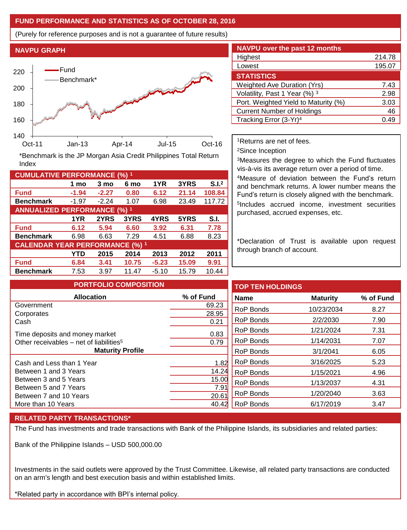## **FUND PERFORMANCE AND STATISTICS AS OF OCTOBER 28, 2016**

(Purely for reference purposes and is not a guarantee of future results)

# **NAVPU GRAPH** 140 160 180 200 220 Oct-11 Jan-13 Apr-14 Jul-15 Oct-16 Fund Benchmark\*

**Fund -1.94 -2.27 0.80 6.12 21.14 108.84 Benchmark** -1.97 -2.24 1.07 6.98 23.49 117.72

\*Benchmark is the JP Morgan Asia Credit Philippines Total Return

**Fund 6.12 5.94 6.60 3.92 6.31 7.78 Benchmark** 6.98 6.63 7.29 4.51 6.88 8.23

**Fund 6.84 3.41 10.75 -5.23 15.09 9.91 Benchmark** 7.53 3.97 11.47 -5.10 15.79 10.44

**1 mo 3 mo 6 mo 1YR 3YRS S.I.<sup>2</sup>**

**1YR 2YRS 3YRS 4YRS 5YRS S.I.**

**YTD 2015 2014 2013 2012 2011**

| <b>NAVPU</b> over the past 12 months |        |  |  |  |  |  |
|--------------------------------------|--------|--|--|--|--|--|
| Highest                              | 214.78 |  |  |  |  |  |
| Lowest                               | 195.07 |  |  |  |  |  |
| <b>STATISTICS</b>                    |        |  |  |  |  |  |
| <b>Weighted Ave Duration (Yrs)</b>   | 7.43   |  |  |  |  |  |
| Volatility, Past 1 Year (%) 3        | 2.98   |  |  |  |  |  |
| Port. Weighted Yield to Maturity (%) | 3.03   |  |  |  |  |  |
| <b>Current Number of Holdings</b>    | 46     |  |  |  |  |  |
| Tracking Error (3-Yr) <sup>4</sup>   | 49     |  |  |  |  |  |

<sup>1</sup>Returns are net of fees.

<sup>2</sup>Since Inception

<sup>3</sup>Measures the degree to which the Fund fluctuates vis-à-vis its average return over a period of time.

<sup>4</sup>Measure of deviation between the Fund's return and benchmark returns. A lower number means the Fund's return is closely aligned with the benchmark. 5 Includes accrued income, investment securities purchased, accrued expenses, etc.

\*Declaration of Trust is available upon request through branch of account.

| <b>PORTFOLIO COMPOSITION</b>                        |                  | <b>TOP TEN HOLDINGS</b> |                 |           |
|-----------------------------------------------------|------------------|-------------------------|-----------------|-----------|
| <b>Allocation</b>                                   | % of Fund        | <b>Name</b>             | <b>Maturity</b> | % of Fund |
| Government                                          | 69.23            | <b>RoP Bonds</b>        | 10/23/2034      | 8.27      |
| Corporates<br>Cash                                  | 28.95<br>0.21    | <b>RoP Bonds</b>        | 2/2/2030        | 7.90      |
| Time deposits and money market                      | 0.83             | <b>RoP Bonds</b>        | 1/21/2024       | 7.31      |
| Other receivables – net of liabilities <sup>5</sup> | 0.79             | <b>RoP Bonds</b>        | 1/14/2031       | 7.07      |
| <b>Maturity Profile</b>                             | <b>RoP Bonds</b> | 3/1/2041                | 6.05            |           |
| Cash and Less than 1 Year                           | 1.82             | <b>RoP Bonds</b>        | 3/16/2025       | 5.23      |
| Between 1 and 3 Years                               | 14.24            | RoP Bonds               | 1/15/2021       | 4.96      |
| Between 3 and 5 Years                               | 15.00            | <b>RoP Bonds</b>        | 1/13/2037       | 4.31      |
| Between 5 and 7 Years<br>Between 7 and 10 Years     | 7.91<br>20.61    | <b>RoP Bonds</b>        | 1/20/2040       | 3.63      |
| More than 10 Years                                  | 40.42            | <b>RoP Bonds</b>        | 6/17/2019       | 3.47      |

## **RELATED PARTY TRANSACTIONS\***

**CUMULATIVE PERFORMANCE (%) <sup>1</sup>**

Index

**ANNUALIZED PERFORMANCE (%) <sup>1</sup>**

**CALENDAR YEAR PERFORMANCE (%) <sup>1</sup>**

The Fund has investments and trade transactions with Bank of the Philippine Islands, its subsidiaries and related parties:

Bank of the Philippine Islands – USD 500,000.00

Investments in the said outlets were approved by the Trust Committee. Likewise, all related party transactions are conducted on an arm's length and best execution basis and within established limits.

\*Related party in accordance with BPI's internal policy.